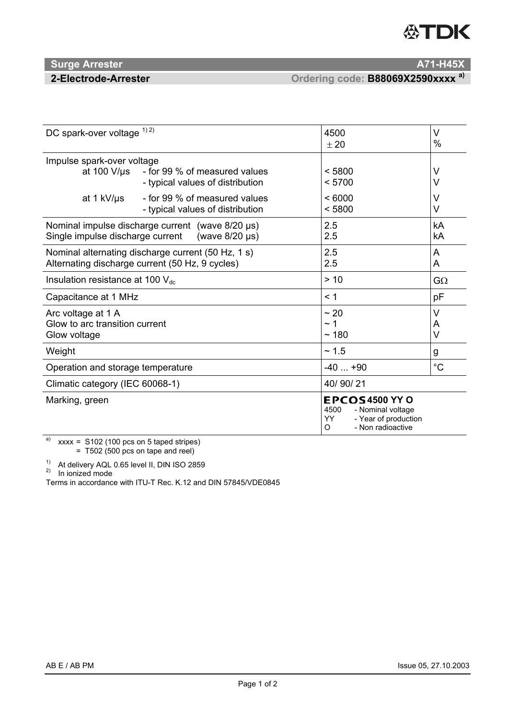# **公TDK**

## **Surge Arrester And A71-H45X <b>A71-H45X A71-H45X**

 **2-Electrode-Arrester Ordering code: B88069X2590xxxx a)** 

| DC spark-over voltage 1) 2)                                                                                    |                                                                   | 4500<br>± 20                                                                                               | $\vee$<br>%      |
|----------------------------------------------------------------------------------------------------------------|-------------------------------------------------------------------|------------------------------------------------------------------------------------------------------------|------------------|
| Impulse spark-over voltage<br>at 100 $V/\mu s$                                                                 | - for 99 % of measured values<br>- typical values of distribution | < 5800<br>< 5700                                                                                           | V<br>V           |
| at 1 kV/us                                                                                                     | - for 99 % of measured values<br>- typical values of distribution | < 6000<br>< 5800                                                                                           | V<br>V           |
| Nominal impulse discharge current (wave $8/20 \,\mu s$ )<br>(wave 8/20 µs)<br>Single impulse discharge current |                                                                   | 2.5<br>2.5                                                                                                 | kA<br>kA         |
| Nominal alternating discharge current (50 Hz, 1 s)<br>Alternating discharge current (50 Hz, 9 cycles)          |                                                                   | 2.5<br>2.5                                                                                                 | A<br>A           |
| Insulation resistance at 100 $V_{dc}$                                                                          |                                                                   | > 10                                                                                                       | $G\Omega$        |
| Capacitance at 1 MHz                                                                                           |                                                                   | < 1                                                                                                        | pF               |
| Arc voltage at 1 A<br>Glow to arc transition current<br>Glow voltage                                           |                                                                   | ~20<br>$\sim$ 1<br>~180                                                                                    | V<br>A<br>$\vee$ |
| Weight                                                                                                         |                                                                   | ~1.5                                                                                                       | g                |
| Operation and storage temperature                                                                              |                                                                   | $-40+90$                                                                                                   | $^{\circ}C$      |
| Climatic category (IEC 60068-1)                                                                                |                                                                   | 40/90/21                                                                                                   |                  |
| Marking, green                                                                                                 |                                                                   | <b>EPCOS4500 YY O</b><br>4500<br>- Nominal voltage<br>YY<br>- Year of production<br>- Non radioactive<br>O |                  |

a)  $xxxx =$  S102 (100 pcs on 5 taped stripes)

= T502 (500 pcs on tape and reel)

<sup>1)</sup> At delivery AQL 0.65 level II, DIN ISO 2859

<sup>2)</sup> In ionized mode

Terms in accordance with ITU-T Rec. K.12 and DIN 57845/VDE0845